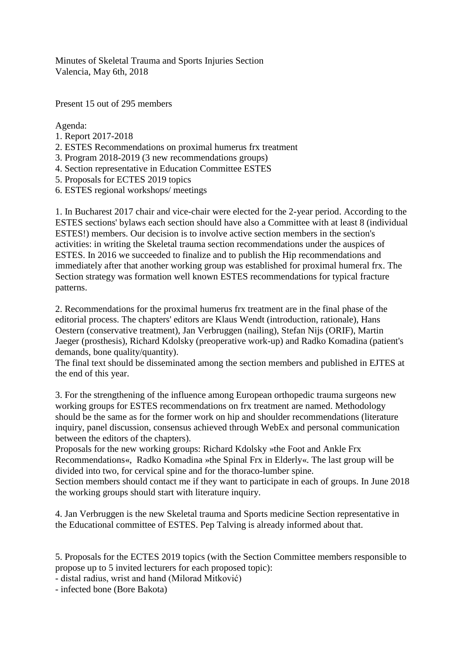Minutes of Skeletal Trauma and Sports Injuries Section Valencia, May 6th, 2018

Present 15 out of 295 members

Agenda:

- 1. Report 2017-2018
- 2. ESTES Recommendations on proximal humerus frx treatment
- 3. Program 2018-2019 (3 new recommendations groups)
- 4. Section representative in Education Committee ESTES
- 5. Proposals for ECTES 2019 topics
- 6. ESTES regional workshops/ meetings

1. In Bucharest 2017 chair and vice-chair were elected for the 2-year period. According to the ESTES sections' bylaws each section should have also a Committee with at least 8 (individual ESTES!) members. Our decision is to involve active section members in the section's activities: in writing the Skeletal trauma section recommendations under the auspices of ESTES. In 2016 we succeeded to finalize and to publish the Hip recommendations and immediately after that another working group was established for proximal humeral frx. The Section strategy was formation well known ESTES recommendations for typical fracture patterns.

2. Recommendations for the proximal humerus frx treatment are in the final phase of the editorial process. The chapters' editors are Klaus Wendt (introduction, rationale), Hans Oestern (conservative treatment), Jan Verbruggen (nailing), Stefan Nijs (ORIF), Martin Jaeger (prosthesis), Richard Kdolsky (preoperative work-up) and Radko Komadina (patient's demands, bone quality/quantity).

The final text should be disseminated among the section members and published in EJTES at the end of this year.

3. For the strengthening of the influence among European orthopedic trauma surgeons new working groups for ESTES recommendations on frx treatment are named. Methodology should be the same as for the former work on hip and shoulder recommendations (literature inquiry, panel discussion, consensus achieved through WebEx and personal communication between the editors of the chapters).

Proposals for the new working groups: Richard Kdolsky »the Foot and Ankle Frx Recommendations«, Radko Komadina »the Spinal Frx in Elderly«. The last group will be divided into two, for cervical spine and for the thoraco-lumber spine.

Section members should contact me if they want to participate in each of groups. In June 2018 the working groups should start with literature inquiry.

4. Jan Verbruggen is the new Skeletal trauma and Sports medicine Section representative in the Educational committee of ESTES. Pep Talving is already informed about that.

5. Proposals for the ECTES 2019 topics (with the Section Committee members responsible to propose up to 5 invited lecturers for each proposed topic):

- distal radius, wrist and hand (Milorad Mitković)

- infected bone (Bore Bakota)